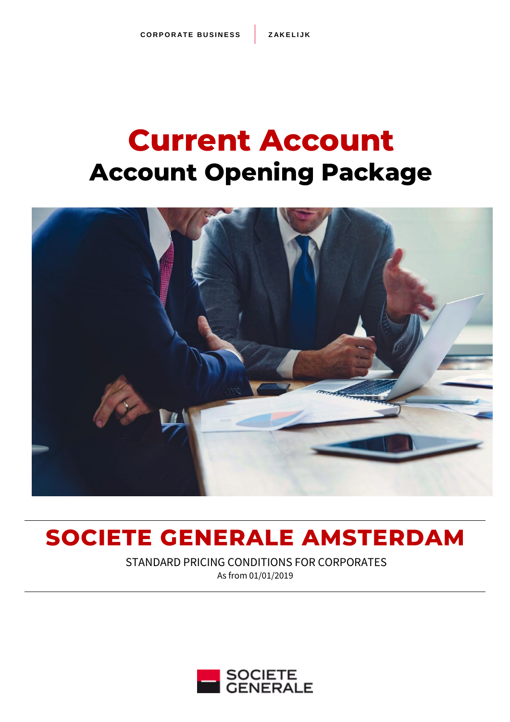# **Current Account Account Opening Package**



# **SOCIETE GENERALE AMSTERDAM**

STANDARD PRICING CONDITIONS FOR CORPORATES As from 01/01/2019

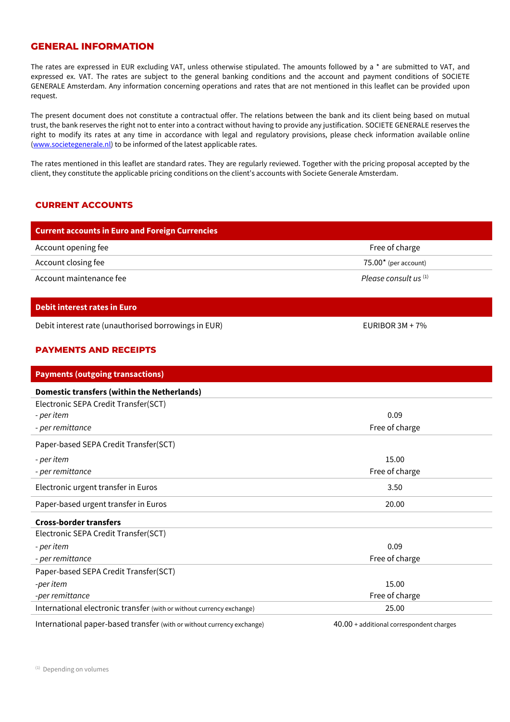#### **GENERAL INFORMATION**

The rates are expressed in EUR excluding VAT, unless otherwise stipulated. The amounts followed by a \* are submitted to VAT, and expressed ex. VAT. The rates are subject to the general banking conditions and the account and payment conditions of SOCIETE GENERALE Amsterdam. Any information concerning operations and rates that are not mentioned in this leaflet can be provided upon request.

The present document does not constitute a contractual offer. The relations between the bank and its client being based on mutual trust, the bank reserves the right not to enter into a contract without having to provide any justification. SOCIETE GENERALE reserves the right to modify its rates at any time in accordance with legal and regulatory provisions, please check information available online [\(www.societegenerale.nl\)](http://www.societegenerale.nl/) to be informed of the latest applicable rates.

The rates mentioned in this leaflet are standard rates. They are regularly reviewed. Together with the pricing proposal accepted by the client, they constitute the applicable pricing conditions on the client's accounts with Societe Generale Amsterdam.

#### **CURRENT ACCOUNTS**

| <b>Current accounts in Euro and Foreign Currencies</b> |                                  |
|--------------------------------------------------------|----------------------------------|
| Account opening fee                                    | Free of charge                   |
| Account closing fee                                    | $75.00*$ (per account)           |
| Account maintenance fee                                | Please consult us <sup>(1)</sup> |

#### **Debit interest rates in Euro**

Debit interest rate (unauthorised borrowings in EUR) EURIBOR 3M + 7%

#### **PAYMENTS AND RECEIPTS**

| <b>Payments (outgoing transactions)</b>                                |                                            |
|------------------------------------------------------------------------|--------------------------------------------|
| <b>Domestic transfers (within the Netherlands)</b>                     |                                            |
| Electronic SEPA Credit Transfer(SCT)                                   |                                            |
| - per item                                                             | 0.09                                       |
| - per remittance                                                       | Free of charge                             |
| Paper-based SEPA Credit Transfer(SCT)                                  |                                            |
| - per item                                                             | 15.00                                      |
| - per remittance                                                       | Free of charge                             |
| Electronic urgent transfer in Euros                                    | 3.50                                       |
| Paper-based urgent transfer in Euros                                   | 20.00                                      |
| <b>Cross-border transfers</b>                                          |                                            |
| Electronic SEPA Credit Transfer(SCT)                                   |                                            |
| - per item                                                             | 0.09                                       |
| - per remittance                                                       | Free of charge                             |
| Paper-based SEPA Credit Transfer(SCT)                                  |                                            |
| -per item                                                              | 15.00                                      |
| -per remittance                                                        | Free of charge                             |
| International electronic transfer (with or without currency exchange)  | 25.00                                      |
| International paper-based transfer (with or without currency exchange) | $40.00 +$ additional correspondent charges |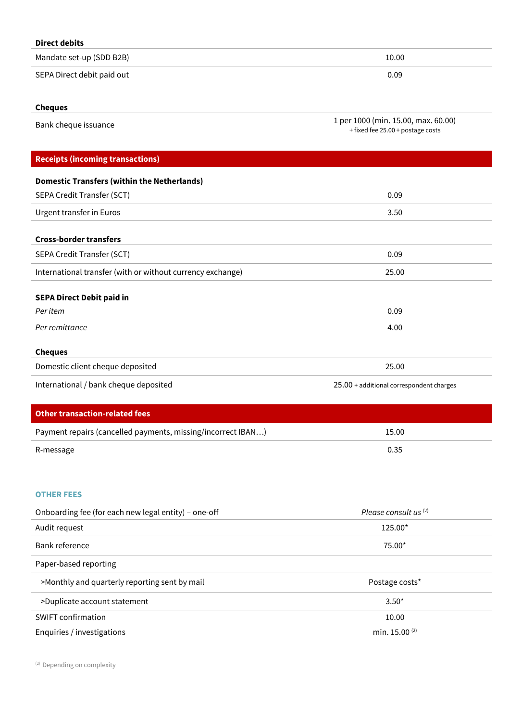| <b>Direct debits</b>                    |                                                                          |
|-----------------------------------------|--------------------------------------------------------------------------|
| Mandate set-up (SDD B2B)                | 10.00                                                                    |
| SEPA Direct debit paid out              | 0.09                                                                     |
| <b>Cheques</b>                          |                                                                          |
| Bank cheque issuance                    | 1 per 1000 (min. 15.00, max. 60.00)<br>+ fixed fee 25.00 + postage costs |
| <b>Receipts (incoming transactions)</b> |                                                                          |

| <b>Domestic Transfers (within the Netherlands)</b>         |                                          |
|------------------------------------------------------------|------------------------------------------|
| SEPA Credit Transfer (SCT)                                 | 0.09                                     |
| Urgent transfer in Euros                                   | 3.50                                     |
| <b>Cross-border transfers</b>                              |                                          |
| SEPA Credit Transfer (SCT)                                 | 0.09                                     |
| International transfer (with or without currency exchange) | 25.00                                    |
| <b>SEPA Direct Debit paid in</b>                           |                                          |
| Per item                                                   | 0.09                                     |
| Per remittance                                             | 4.00                                     |
| <b>Cheques</b>                                             |                                          |
| Domestic client cheque deposited                           | 25.00                                    |
| International / bank cheque deposited                      | 25.00 + additional correspondent charges |
|                                                            |                                          |

| Other transaction-related fees                               |       |
|--------------------------------------------------------------|-------|
| Payment repairs (cancelled payments, missing/incorrect IBAN) | 15.00 |
| R-message                                                    | 0.35  |

# **OTHER FEES**

Ī

| Onboarding fee (for each new legal entity) – one-off | Please consult us $(2)$   |
|------------------------------------------------------|---------------------------|
| Audit request                                        | 125.00*                   |
| Bank reference                                       | 75.00*                    |
| Paper-based reporting                                |                           |
| >Monthly and quarterly reporting sent by mail        | Postage costs*            |
| >Duplicate account statement                         | $3.50*$                   |
| <b>SWIFT confirmation</b>                            | 10.00                     |
| Enquiries / investigations                           | min. 15.00 <sup>(2)</sup> |

<sup>(2)</sup> Depending on complexity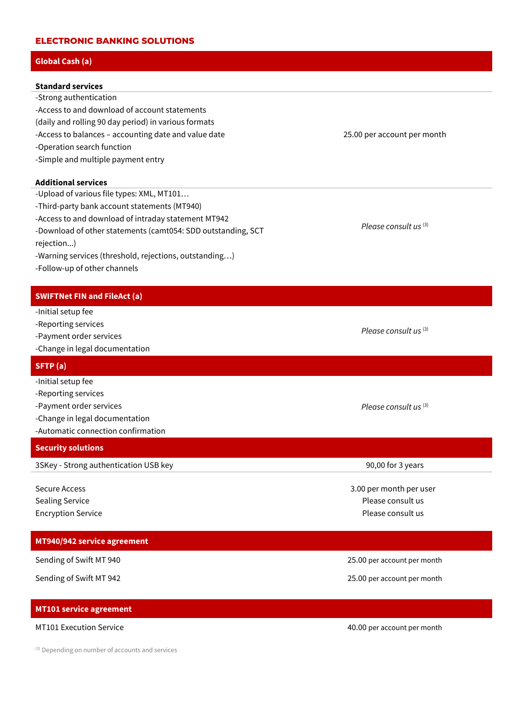#### **ELECTRONIC BANKING SOLUTIONS**

# **Global Cash (a)**

| <b>Standard services</b>                             |
|------------------------------------------------------|
| -Strong authentication                               |
| -Access to and download of account statements        |
| (daily and rolling 90 day period) in various formats |
| -Access to balances - accounting date and value date |
| -Operation search function                           |
| -Simple and multiple payment entry                   |
| <b>Additional services</b>                           |
| -Upload of various file types: XML, MT101            |
| -Third-party bank account statements (MT940)         |
| -Access to and download of intraday statement MT942  |

-Download of other statements (camt054: SDD outstanding, SCT rejection...)

- -Warning services (threshold, rejections, outstanding…)
- -Follow-up of other channels

# **SWIFTNet FIN and FileAct (a)**

- -Initial setup fee
- -Reporting services
- -Payment order services
- -Change in legal documentation

# **SFTP (a)**

- -Initial setup fee
- -Reporting services
- -Payment order services
- -Change in legal documentation
- -Automatic connection confirmation

# **Security solutions**

3SKey - Strong authentication USB key 90,00 for 3 years

Secure Access Sealing Service Encryption Service

# **MT940/942 service agreement**

# **MT101 service agreement**

(3) Depending on number of accounts and services

25.00 per account per month

*Please consult us* (3)

*Please consult us* (3)

*Please consult us* (3)

3.00 per month per user Please consult us Please consult us

Sending of Swift MT 940 25.00 per account per month

Sending of Swift MT 942 25.00 per account per month

MT101 Execution Service **Account per month**  $40.00$  per account per month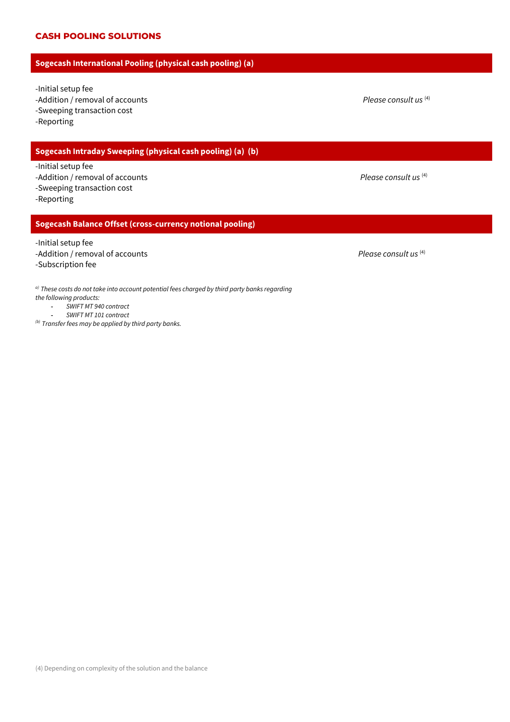# **CASH POOLING SOLUTIONS**

# **Sogecash International Pooling (physical cash pooling) (a)**

-Initial setup fee

-Addition / removal of accounts

-Sweeping transaction cost

-Reporting

# **Sogecash Intraday Sweeping (physical cash pooling) (a) (b)**

-Initial setup fee

- -Addition / removal of accounts *Please consult us* (4)
- -Sweeping transaction cost

-Reporting

# **Sogecash Balance Offset (cross-currency notional pooling)**

-Initial setup fee

- -Addition / removal of accounts **Please consult us** (4)
- -Subscription fee

*a) These costs do not take into account potential fees charged by third party banks regarding the following products:*

- **-** *SWIFT MT 940 contract* **-** *SWIFT MT 101 contract*
- *(b) Transfer fees may be applied by third party banks.*

 *Please consult us* (4)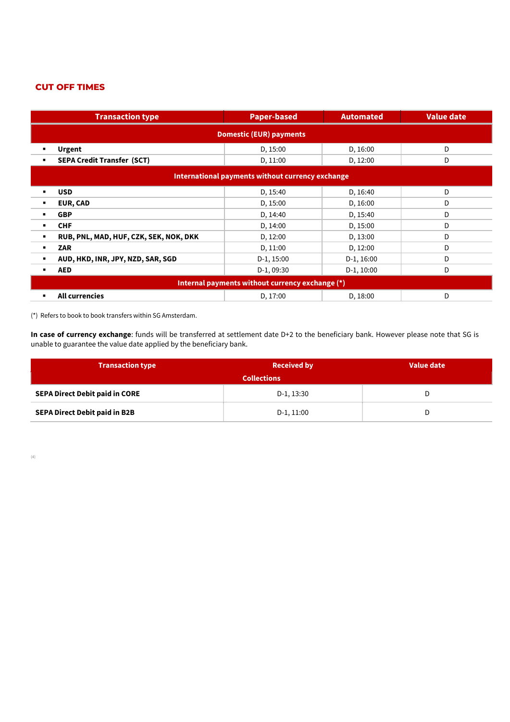# **CUT OFF TIMES**

| <b>Transaction type</b>                                  | <b>Paper-based</b> | <b>Automated</b> | <b>Value date</b> |
|----------------------------------------------------------|--------------------|------------------|-------------------|
| <b>Domestic (EUR) payments</b>                           |                    |                  |                   |
| <b>Urgent</b>                                            | D, 15:00           | D, 16:00         | D                 |
| <b>SEPA Credit Transfer (SCT)</b>                        | D, 11:00           | D, 12:00         | D                 |
| International payments without currency exchange         |                    |                  |                   |
| <b>USD</b><br>٠                                          | D, 15:40           | D, 16:40         | D                 |
| EUR, CAD<br>٠                                            | D, 15:00           | D, 16:00         | D                 |
| <b>GBP</b><br>$\blacksquare$                             | D, 14:40           | D, 15:40         | D                 |
| <b>CHF</b><br>٠                                          | D, 14:00           | D, 15:00         | D                 |
| RUB, PNL, MAD, HUF, CZK, SEK, NOK, DKK<br>$\blacksquare$ | D, 12:00           | D, 13:00         | D                 |
| <b>ZAR</b>                                               | D, 11:00           | D, 12:00         | D                 |
| AUD, HKD, INR, JPY, NZD, SAR, SGD                        | D-1, 15:00         | $D-1, 16:00$     | D                 |
| <b>AED</b><br>$\blacksquare$                             | D-1, 09:30         | $D-1$ , 10:00    | D                 |
| Internal payments without currency exchange (*)          |                    |                  |                   |
| All currencies                                           | D, 17:00           | D, 18:00         | D                 |

(\*) Refers to book to book transfers within SG Amsterdam.

**In case of currency exchange**: funds will be transferred at settlement date D+2 to the beneficiary bank. However please note that SG is unable to guarantee the value date applied by the beneficiary bank.

| <b>Transaction type</b>               | <b>Received by</b> | Value date |
|---------------------------------------|--------------------|------------|
| <b>Collections</b>                    |                    |            |
| <b>SEPA Direct Debit paid in CORE</b> | D-1, 13:30         | ◡          |
| SEPA Direct Debit paid in B2B         | D-1, 11:00         | ◡          |